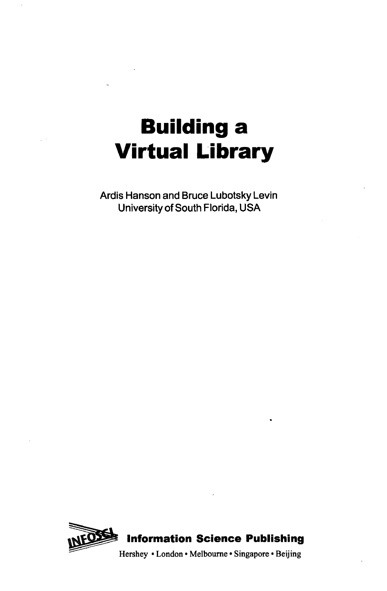# **Building a Virtual Library**

Ardis Hanson and Bruce Lubotsky Levin University of South Florida, USA

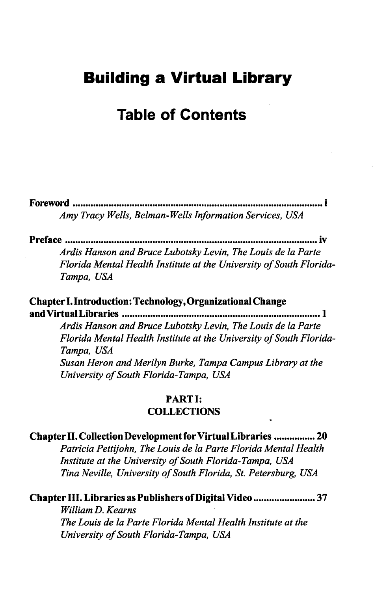# **Building a Virtual Library**

## Table of Contents

**Foreword i** *Amy Tracy Wells, Belman-Wells Information Services, USA*

**Preface iv**

*Ardis Hanson and Bruce Lubotsky Levin, The Louis de la Parte Florida Mental Health Institute at the University of South Florida-Tampa, USA*

**Chapter I. Introduction: Technology, Organizational Change and Virtual Libraries 1**

> *Ardis Hanson and Bruce Lubotsky Levin, The Louis de la Parte Florida Mental Health Institute at the University of South Florida-Tampa, USA Susan Heron and Merilyn Burke, Tampa Campus Library at the University of South Florida-Tampa, USA*

#### **PARTI: COLLECTIONS**

## **Chapter II. Collection Development for Virtual Libraries ............... 20**

*Patricia Pettijohn, The Louis de la Parte Florida Mental Health Institute at the University of South Florida-Tampa, USA Tina Neville, University of South Florida, St. Petersburg, USA*

#### **Chapter III. Libraries as Publishers of Digital Video ....................... 37**

*William D. Kearns The Louis de la Parte Florida Mental Health Institute at the University of South Florida-Tampa, USA*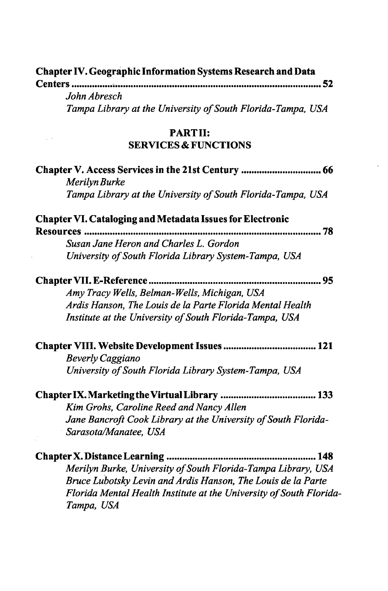| <b>Chapter IV. Geographic Information Systems Research and Data</b> |  |
|---------------------------------------------------------------------|--|
| <b>Centers</b>                                                      |  |
| John Abresch                                                        |  |
| Tampa Library at the University of South Florida-Tampa, USA         |  |
| <b>PARTII:</b>                                                      |  |
| <b>SERVICES &amp; FUNCTIONS</b>                                     |  |
| Merilyn Burke                                                       |  |
| Tampa Library at the University of South Florida-Tampa, USA         |  |
| <b>Chapter VI. Cataloging and Metadata Issues for Electronic</b>    |  |
|                                                                     |  |
| Susan Jane Heron and Charles L. Gordon                              |  |
| University of South Florida Library System-Tampa, USA               |  |
| 95                                                                  |  |
| Amy Tracy Wells, Belman-Wells, Michigan, USA                        |  |
| Ardis Hanson, The Louis de la Parte Florida Mental Health           |  |
| Institute at the University of South Florida-Tampa, USA             |  |
|                                                                     |  |
| <b>Beverly Caggiano</b>                                             |  |
| University of South Florida Library System-Tampa, USA               |  |
|                                                                     |  |
| Kim Grohs, Caroline Reed and Nancy Allen                            |  |
| Jane Bancroft Cook Library at the University of South Florida-      |  |
| Sarasota/Manatee, USA                                               |  |
| Chapter X. Distance Learning.<br>148                                |  |
| Merilyn Burke, University of South Florida-Tampa Library, USA       |  |
| Bruce Lubotsky Levin and Ardis Hanson, The Louis de la Parte        |  |
| Florida Mental Health Institute at the University of South Florida- |  |
| Tampa, USA                                                          |  |
|                                                                     |  |

 $\mathcal{A}^{\mathcal{A}}$